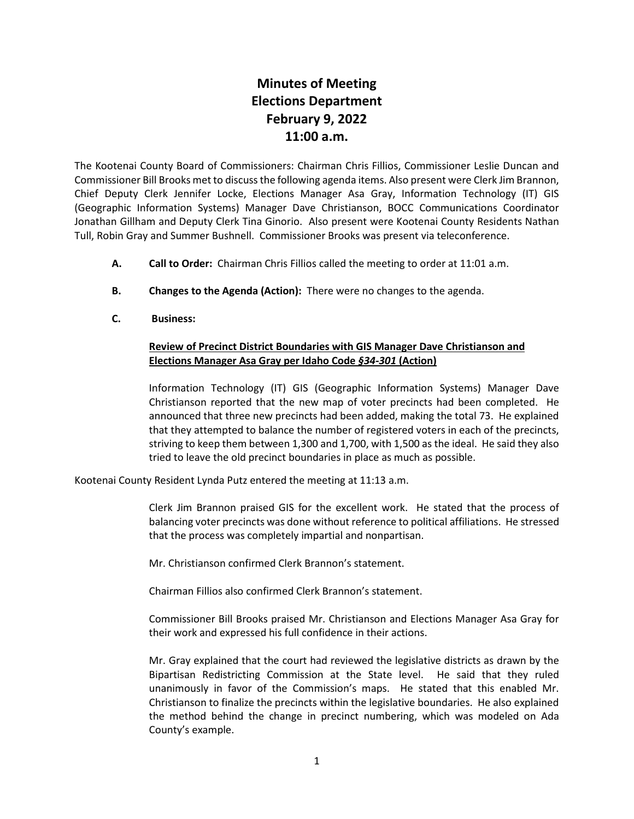## **Minutes of Meeting Elections Department February 9, 2022 11:00 a.m.**

The Kootenai County Board of Commissioners: Chairman Chris Fillios, Commissioner Leslie Duncan and Commissioner Bill Brooks met to discuss the following agenda items. Also present were Clerk Jim Brannon, Chief Deputy Clerk Jennifer Locke, Elections Manager Asa Gray, Information Technology (IT) GIS (Geographic Information Systems) Manager Dave Christianson, BOCC Communications Coordinator Jonathan Gillham and Deputy Clerk Tina Ginorio. Also present were Kootenai County Residents Nathan Tull, Robin Gray and Summer Bushnell. Commissioner Brooks was present via teleconference.

- **A. Call to Order:** Chairman Chris Fillios called the meeting to order at 11:01 a.m.
- **B. Changes to the Agenda (Action):** There were no changes to the agenda.
- **C. Business:**

## **Review of Precinct District Boundaries with GIS Manager Dave Christianson and Elections Manager Asa Gray per Idaho Code** *§34-301* **(Action)**

Information Technology (IT) GIS (Geographic Information Systems) Manager Dave Christianson reported that the new map of voter precincts had been completed. He announced that three new precincts had been added, making the total 73. He explained that they attempted to balance the number of registered voters in each of the precincts, striving to keep them between 1,300 and 1,700, with 1,500 as the ideal. He said they also tried to leave the old precinct boundaries in place as much as possible.

Kootenai County Resident Lynda Putz entered the meeting at 11:13 a.m.

Clerk Jim Brannon praised GIS for the excellent work. He stated that the process of balancing voter precincts was done without reference to political affiliations. He stressed that the process was completely impartial and nonpartisan.

Mr. Christianson confirmed Clerk Brannon's statement.

Chairman Fillios also confirmed Clerk Brannon's statement.

Commissioner Bill Brooks praised Mr. Christianson and Elections Manager Asa Gray for their work and expressed his full confidence in their actions.

Mr. Gray explained that the court had reviewed the legislative districts as drawn by the Bipartisan Redistricting Commission at the State level. He said that they ruled unanimously in favor of the Commission's maps. He stated that this enabled Mr. Christianson to finalize the precincts within the legislative boundaries. He also explained the method behind the change in precinct numbering, which was modeled on Ada County's example.